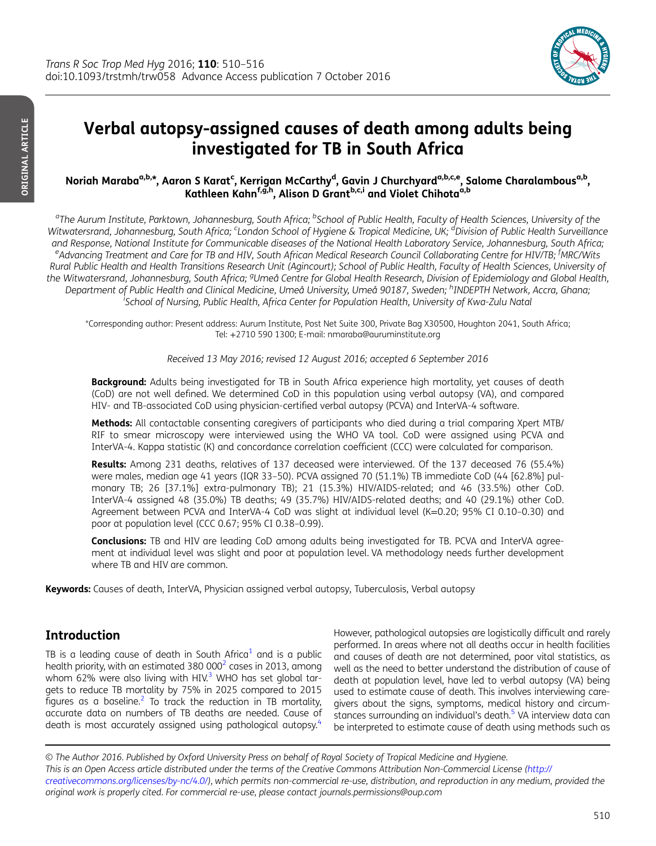

# Verbal autopsy-assigned causes of death among adults being investigated for TB in South Africa

### Noriah Maraba<sup>a,b,</sup>\*, Aaron S Karat<sup>c</sup>, Kerrigan McCarthy<sup>d</sup>, Gavin J Churchyard<sup>a,b,c,e</sup>, Salome Charalambous<sup>a,b</sup>, Kathleen Kahn<sup>f,g,h</sup>, Alison D Grant<sup>b,c,i</sup> and Violet Chihota<sup>a,b</sup>

<sup>a</sup>The Aurum Institute, Parktown, Johannesburg, South Africa; <sup>b</sup>School of Public Health, Faculty of Health Sciences, University of the Witwatersrand, Johannesburg, South Africa; <sup>c</sup>London School of Hygiene & Tropical Medicine, UK; <sup>d</sup>Division of Public Health Surveillance and Response, National Institute for Communicable diseases of the National Health Laboratory Service, Johannesburg, South Africa; <sup>e</sup>Advancing Treatment and Care for TB and HIV, South African Medical Research Council Collaborating Centre for HIV/TB; <sup>f</sup>MRC/Wits Rural Public Health and Health Transitions Research Unit (Agincourt); School of Public Health, Faculty of Health Sciences, University of the Witwatersrand, Johannesburg, South Africa; <sup>g</sup>Umeå Centre for Global Health Research, Division of Epidemiology and Global Health, Department of Public Health and Clinical Medicine, Umeå University, Umeå 90187, Sweden; <sup>h</sup>INDEPTH Network, Accra, Ghana; i School of Nursing, Public Health, Africa Center for Population Health, University of Kwa-Zulu Natal

\*Corresponding author: Present address: Aurum Institute, Post Net Suite 300, Private Bag X30500, Houghton 2041, South Africa; Tel: +2710 590 1300; E-mail: nmaraba@auruminstitute.org

Received 13 May 2016; revised 12 August 2016; accepted 6 September 2016

**Background:** Adults being investigated for TB in South Africa experience high mortality, yet causes of death (CoD) are not well defined. We determined CoD in this population using verbal autopsy (VA), and compared HIV- and TB-associated CoD using physician-certified verbal autopsy (PCVA) and InterVA-4 software.

Methods: All contactable consenting caregivers of participants who died during a trial comparing Xpert MTB/ RIF to smear microscopy were interviewed using the WHO VA tool. CoD were assigned using PCVA and InterVA-4. Kappa statistic (K) and concordance correlation coefficient (CCC) were calculated for comparison.

Results: Among 231 deaths, relatives of 137 deceased were interviewed. Of the 137 deceased 76 (55.4%) were males, median age 41 years (IQR 33–50). PCVA assigned 70 (51.1%) TB immediate CoD (44 [62.8%] pulmonary TB; 26 [37.1%] extra-pulmonary TB); 21 (15.3%) HIV/AIDS-related; and 46 (33.5%) other CoD. InterVA-4 assigned 48 (35.0%) TB deaths; 49 (35.7%) HIV/AIDS-related deaths; and 40 (29.1%) other CoD. Agreement between PCVA and InterVA-4 CoD was slight at individual level (K=0.20; 95% CI 0.10–0.30) and poor at population level (CCC 0.67; 95% CI 0.38–0.99).

Conclusions: TB and HIV are leading CoD among adults being investigated for TB. PCVA and InterVA agreement at individual level was slight and poor at population level. VA methodology needs further development where TB and HIV are common.

Keywords: Causes of death, InterVA, Physician assigned verbal autopsy, Tuberculosis, Verbal autopsy

# Introduction

TB is a leading cause of death in South Africa<sup>1</sup> and is a public health priority, with an estimated  $380\,000^2$  $380\,000^2$  cases in 2013, among whom 62% were also living with HIV.<sup>[3](#page-5-0)</sup> WHO has set global targets to reduce TB mortality by 75% in 2025 compared to 2015 figures as a baseline.<sup>2</sup> To track the reduction in TB mortality, accurate data on numbers of TB deaths are needed. Cause of death is most accurately assigned using pathological autopsy.<sup>[4](#page-5-0)</sup>

However, pathological autopsies are logistically difficult and rarely performed. In areas where not all deaths occur in health facilities and causes of death are not determined, poor vital statistics, as well as the need to better understand the distribution of cause of death at population level, have led to verbal autopsy (VA) being used to estimate cause of death. This involves interviewing caregivers about the signs, symptoms, medical history and circumstances surrounding an individual's death.<sup>5</sup> VA interview data can be interpreted to estimate cause of death using methods such as

© The Author 2016. Published by Oxford University Press on behalf of Royal Society of Tropical Medicine and Hygiene. This is an Open Access article distributed under the terms of the Creative Commons Attribution Non-Commercial License ([http://](http://creativecommons.org/licenses/by-nc/4.0/) [creativecommons.org/licenses/by-nc/4.0/](http://creativecommons.org/licenses/by-nc/4.0/)), which permits non-commercial re-use, distribution, and reproduction in any medium, provided the original work is properly cited. For commercial re-use, please contact journals.permissions@oup.com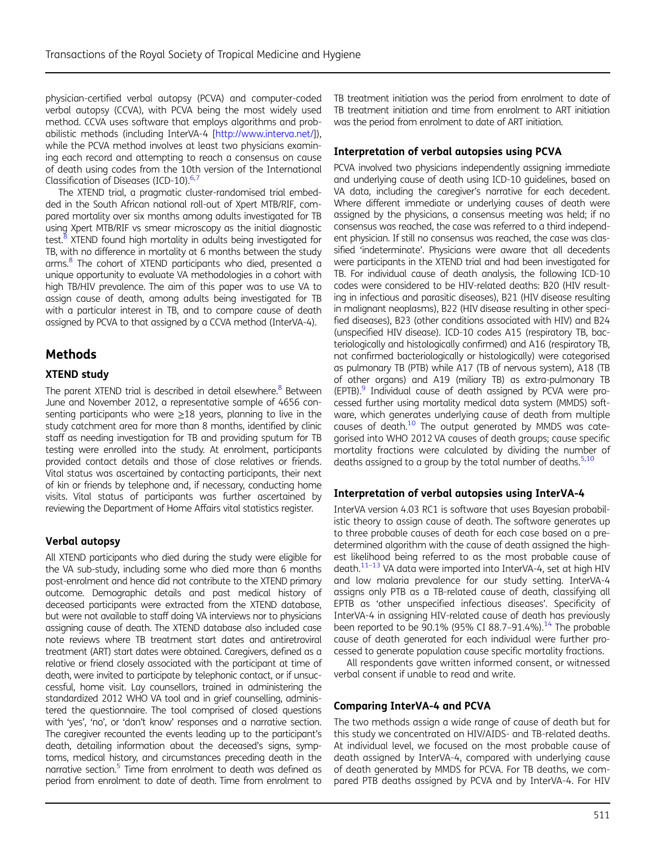physician-certified verbal autopsy (PCVA) and computer-coded verbal autopsy (CCVA), with PCVA being the most widely used method. CCVA uses software that employs algorithms and probabilistic methods (including InterVA-4 [\[http://www.interva.net/\]](http://www.interva.net/)), while the PCVA method involves at least two physicians examining each record and attempting to reach a consensus on cause of death using codes from the 10th version of the International Classification of Diseases (ICD-10).<sup>6,[7](#page-5-0)</sup>

The XTEND trial, a pragmatic cluster-randomised trial embedded in the South African national roll-out of Xpert MTB/RIF, compared mortality over six months among adults investigated for TB using Xpert MTB/RIF vs smear microscopy as the initial diagnostic test.<sup>8</sup> XTEND found high mortality in adults being investigated for TB, with no difference in mortality at 6 months between the study arms.<sup>8</sup> The cohort of XTEND participants who died, presented a unique opportunity to evaluate VA methodologies in a cohort with high TB/HIV prevalence. The aim of this paper was to use VA to assign cause of death, among adults being investigated for TB with a particular interest in TB, and to compare cause of death assigned by PCVA to that assigned by a CCVA method (InterVA-4).

## Methods

#### XTEND study

The parent XTEND trial is described in detail elsewhere.<sup>[8](#page-5-0)</sup> Between June and November 2012, a representative sample of 4656 consenting participants who were  $\geq$ 18 years, planning to live in the study catchment area for more than 8 months, identified by clinic staff as needing investigation for TB and providing sputum for TB testing were enrolled into the study. At enrolment, participants provided contact details and those of close relatives or friends. Vital status was ascertained by contacting participants, their next of kin or friends by telephone and, if necessary, conducting home visits. Vital status of participants was further ascertained by reviewing the Department of Home Affairs vital statistics register.

#### Verbal autopsy

All XTEND participants who died during the study were eligible for the VA sub-study, including some who died more than 6 months post-enrolment and hence did not contribute to the XTEND primary outcome. Demographic details and past medical history of deceased participants were extracted from the XTEND database, but were not available to staff doing VA interviews nor to physicians assigning cause of death. The XTEND database also included case note reviews where TB treatment start dates and antiretroviral treatment (ART) start dates were obtained. Caregivers, defined as a relative or friend closely associated with the participant at time of death, were invited to participate by telephonic contact, or if unsuccessful, home visit. Lay counsellors, trained in administering the standardized 2012 WHO VA tool and in grief counselling, administered the questionnaire. The tool comprised of closed questions with 'yes', 'no', or 'don't know' responses and a narrative section. The caregiver recounted the events leading up to the participant's death, detailing information about the deceased's signs, symptoms, medical history, and circumstances preceding death in the narrative section.<sup>5</sup> Time from enrolment to death was defined as period from enrolment to date of death. Time from enrolment to

TB treatment initiation was the period from enrolment to date of TB treatment initiation and time from enrolment to ART initiation was the period from enrolment to date of ART initiation.

#### Interpretation of verbal autopsies using PCVA

PCVA involved two physicians independently assigning immediate and underlying cause of death using ICD-10 guidelines, based on VA data, including the caregiver's narrative for each decedent. Where different immediate or underlying causes of death were assigned by the physicians, a consensus meeting was held; if no consensus was reached, the case was referred to a third independent physician. If still no consensus was reached, the case was classified 'indeterminate'. Physicians were aware that all decedents were participants in the XTEND trial and had been investigated for TB. For individual cause of death analysis, the following ICD-10 codes were considered to be HIV-related deaths: B20 (HIV resulting in infectious and parasitic diseases), B21 (HIV disease resulting in malignant neoplasms), B22 (HIV disease resulting in other specified diseases), B23 (other conditions associated with HIV) and B24 (unspecified HIV disease). ICD-10 codes A15 (respiratory TB, bacteriologically and histologically confirmed) and A16 (respiratory TB, not confirmed bacteriologically or histologically) were categorised as pulmonary TB (PTB) while A17 (TB of nervous system), A18 (TB of other organs) and A19 (miliary TB) as extra-pulmonary TB  $(EPTB).<sup>9</sup>$  $(EPTB).<sup>9</sup>$  $(EPTB).<sup>9</sup>$  Individual cause of death assigned by PCVA were processed further using mortality medical data system (MMDS) software, which generates underlying cause of death from multiple causes of death. $10$  The output generated by MMDS was categorised into WHO 2012 VA causes of death groups; cause specific mortality fractions were calculated by dividing the number of deaths assigned to a group by the total number of deaths.<sup>5[,10](#page-6-0)</sup>

#### Interpretation of verbal autopsies using InterVA-4

InterVA version 4.03 RC1 is software that uses Bayesian probabilistic theory to assign cause of death. The software generates up to three probable causes of death for each case based on a predetermined algorithm with the cause of death assigned the highest likelihood being referred to as the most probable cause of death.<sup>11-[13](#page-6-0)</sup> VA data were imported into InterVA-4, set at high HIV and low malaria prevalence for our study setting. InterVA-4 assigns only PTB as a TB-related cause of death, classifying all EPTB as 'other unspecified infectious diseases'. Specificity of InterVA-4 in assigning HIV-related cause of death has previously been reported to be 90.1% (95% CI 88.7-91.4%).<sup>14</sup> The probable cause of death generated for each individual were further processed to generate population cause specific mortality fractions.

All respondents gave written informed consent, or witnessed verbal consent if unable to read and write.

#### Comparing InterVA-4 and PCVA

The two methods assign a wide range of cause of death but for this study we concentrated on HIV/AIDS- and TB-related deaths. At individual level, we focused on the most probable cause of death assigned by InterVA-4, compared with underlying cause of death generated by MMDS for PCVA. For TB deaths, we compared PTB deaths assigned by PCVA and by InterVA-4. For HIV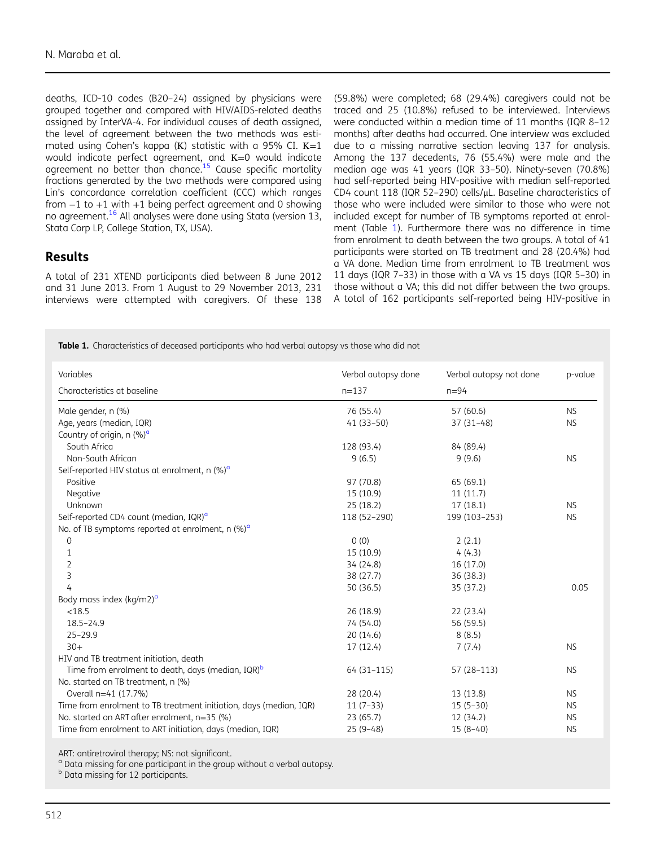<span id="page-2-0"></span>deaths, ICD-10 codes (B20–24) assigned by physicians were grouped together and compared with HIV/AIDS-related deaths assigned by InterVA-4. For individual causes of death assigned, the level of agreement between the two methods was estimated using Cohen's kappa (Κ) statistic with a 95% CI. Κ=1 would indicate perfect agreement, and K=0 would indicate agreement no better than chance.<sup>15</sup> Cause specific mortality fractions generated by the two methods were compared using Lin's concordance correlation coefficient (CCC) which ranges from −1 to +1 with +1 being perfect agreement and 0 showing no agreement.[16](#page-6-0) All analyses were done using Stata (version 13, Stata Corp LP, College Station, TX, USA).

## Results

A total of 231 XTEND participants died between 8 June 2012 and 31 June 2013. From 1 August to 29 November 2013, 231 interviews were attempted with caregivers. Of these 138

(59.8%) were completed; 68 (29.4%) caregivers could not be traced and 25 (10.8%) refused to be interviewed. Interviews were conducted within a median time of 11 months (IQR 8–12 months) after deaths had occurred. One interview was excluded due to a missing narrative section leaving 137 for analysis. Among the 137 decedents, 76 (55.4%) were male and the median age was 41 years (IQR 33–50). Ninety-seven (70.8%) had self-reported being HIV-positive with median self-reported CD4 count 118 (IQR 52–290) cells/μL. Baseline characteristics of those who were included were similar to those who were not included except for number of TB symptoms reported at enrolment (Table 1). Furthermore there was no difference in time from enrolment to death between the two groups. A total of 41 participants were started on TB treatment and 28 (20.4%) had a VA done. Median time from enrolment to TB treatment was 11 days (IQR 7–33) in those with a VA vs 15 days (IQR 5–30) in those without a VA; this did not differ between the two groups. A total of 162 participants self-reported being HIV-positive in

Table 1. Characteristics of deceased participants who had verbal autopsy vs those who did not

| Variables                                                          | Verbal autopsy done | Verbal autopsy not done | p-value   |
|--------------------------------------------------------------------|---------------------|-------------------------|-----------|
| Characteristics at baseline                                        | $n = 137$           | $n = 94$                |           |
| Male gender, n (%)                                                 | 76 (55.4)           | 57 (60.6)               | <b>NS</b> |
| Age, years (median, IQR)                                           | $41(33-50)$         | $37(31-48)$             | <b>NS</b> |
| Country of origin, n (%) <sup>a</sup>                              |                     |                         |           |
| South Africa                                                       | 128 (93.4)          | 84 (89.4)               |           |
| Non-South African                                                  | 9(6.5)              | 9(9.6)                  | <b>NS</b> |
| Self-reported HIV status at enrolment, $n$ (%) <sup>a</sup>        |                     |                         |           |
| Positive                                                           | 97 (70.8)           | 65 (69.1)               |           |
| Negative                                                           | 15 (10.9)           | 11(11.7)                |           |
| Unknown                                                            | 25(18.2)            | 17(18.1)                | <b>NS</b> |
| Self-reported CD4 count (median, IQR) <sup>a</sup>                 | 118 (52-290)        | 199 (103-253)           | <b>NS</b> |
| No. of TB symptoms reported at enrolment, n $(\%)^{\alpha}$        |                     |                         |           |
| $\mathbf 0$                                                        | 0(0)                | 2(2.1)                  |           |
| $\mathbf{1}$                                                       | 15 (10.9)           | 4(4.3)                  |           |
| $\overline{2}$                                                     | 34 (24.8)           | 16 (17.0)               |           |
| 3                                                                  | 38 (27.7)           | 36 (38.3)               |           |
| 4                                                                  | 50 (36.5)           | 35 (37.2)               | 0.05      |
| Body mass index (kg/m2) <sup>a</sup>                               |                     |                         |           |
| < 18.5                                                             | 26 (18.9)           | 22 (23.4)               |           |
| $18.5 - 24.9$                                                      | 74 (54.0)           | 56 (59.5)               |           |
| $25 - 29.9$                                                        | 20(14.6)            | 8(8.5)                  |           |
| $30+$                                                              | 17 (12.4)           | 7(7.4)                  | <b>NS</b> |
| HIV and TB treatment initiation, death                             |                     |                         |           |
| Time from enrolment to death, days (median, IQR) <sup>b</sup>      | $64(31-115)$        | 57 (28-113)             | <b>NS</b> |
| No. started on TB treatment, n (%)                                 |                     |                         |           |
| Overall n=41 (17.7%)                                               | 28 (20.4)           | 13 (13.8)               | <b>NS</b> |
| Time from enrolment to TB treatment initiation, days (median, IQR) | $11(7-33)$          | $15(5-30)$              | <b>NS</b> |
| No. started on ART after enrolment, n=35 (%)                       | 23 (65.7)           | 12 (34.2)               | <b>NS</b> |
| Time from enrolment to ART initiation, days (median, IQR)          | $25(9-48)$          | $15(8-40)$              | <b>NS</b> |

ART: antiretroviral therapy; NS: not significant.<br><sup>a</sup> Data missing for one participant in the group without a verbal autopsy.

**b** Data missing for 12 participants.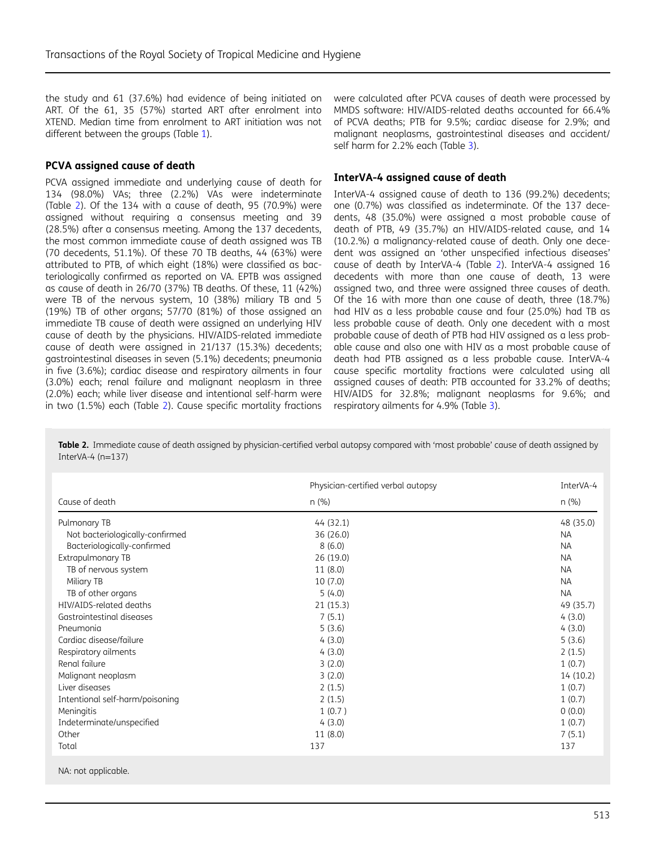the study and 61 (37.6%) had evidence of being initiated on ART. Of the 61, 35 (57%) started ART after enrolment into XTEND. Median time from enrolment to ART initiation was not different between the groups (Table [1](#page-2-0)).

#### PCVA assigned cause of death

PCVA assigned immediate and underlying cause of death for 134 (98.0%) VAs; three (2.2%) VAs were indeterminate (Table 2). Of the 134 with a cause of death, 95 (70.9%) were assigned without requiring a consensus meeting and 39 (28.5%) after a consensus meeting. Among the 137 decedents, the most common immediate cause of death assigned was TB (70 decedents, 51.1%). Of these 70 TB deaths, 44 (63%) were attributed to PTB, of which eight (18%) were classified as bacteriologically confirmed as reported on VA. EPTB was assigned as cause of death in 26/70 (37%) TB deaths. Of these,  $11$  (42%) were TB of the nervous system, 10 (38%) miliary TB and 5 (19%) TB of other organs; 57/70 (81%) of those assigned an immediate TB cause of death were assigned an underlying HIV cause of death by the physicians. HIV/AIDS-related immediate cause of death were assigned in 21/137 (15.3%) decedents; gastrointestinal diseases in seven (5.1%) decedents; pneumonia in five (3.6%); cardiac disease and respiratory ailments in four (3.0%) each; renal failure and malignant neoplasm in three (2.0%) each; while liver disease and intentional self-harm were in two (1.5%) each (Table 2). Cause specific mortality fractions

were calculated after PCVA causes of death were processed by MMDS software: HIV/AIDS-related deaths accounted for 66.4% of PCVA deaths; PTB for 9.5%; cardiac disease for 2.9%; and malignant neoplasms, gastrointestinal diseases and accident/ self harm for 2.2% each (Table [3](#page-4-0)).

#### InterVA-4 assigned cause of death

InterVA-4 assigned cause of death to 136 (99.2%) decedents; one (0.7%) was classified as indeterminate. Of the 137 decedents, 48 (35.0%) were assigned a most probable cause of death of PTB, 49 (35.7%) an HIV/AIDS-related cause, and 14 (10.2.%) a malignancy-related cause of death. Only one decedent was assigned an 'other unspecified infectious diseases' cause of death by InterVA-4 (Table 2). InterVA-4 assigned 16 decedents with more than one cause of death, 13 were assigned two, and three were assigned three causes of death. Of the 16 with more than one cause of death, three (18.7%) had HIV as a less probable cause and four (25.0%) had TB as less probable cause of death. Only one decedent with a most probable cause of death of PTB had HIV assigned as a less probable cause and also one with HIV as a most probable cause of death had PTB assigned as a less probable cause. InterVA-4 cause specific mortality fractions were calculated using all assigned causes of death: PTB accounted for 33.2% of deaths; HIV/AIDS for 32.8%; malignant neoplasms for 9.6%; and respiratory ailments for 4.9% (Table [3](#page-4-0)).

Table 2. Immediate cause of death assigned by physician-certified verbal autopsy compared with 'most probable' cause of death assigned by InterVA-4 (n=137)

|                                 | Physician-certified verbal autopsy | InterVA-4 |  |
|---------------------------------|------------------------------------|-----------|--|
| Cause of death                  | n (%)                              | n(%)      |  |
| Pulmonary TB                    | 44 (32.1)                          | 48 (35.0) |  |
| Not bacteriologically-confirmed | 36 (26.0)                          | <b>NA</b> |  |
| Bacteriologically-confirmed     | 8(6.0)                             | <b>NA</b> |  |
| <b>Extrapulmonary TB</b>        | 26(19.0)                           | <b>NA</b> |  |
| TB of nervous system            | 11(8.0)                            | <b>NA</b> |  |
| Miliary TB                      | 10(7.0)                            | <b>NA</b> |  |
| TB of other organs              | 5(4.0)                             | <b>NA</b> |  |
| HIV/AIDS-related deaths         | 21(15.3)                           | 49 (35.7) |  |
| Gastrointestinal diseases       | 7(5.1)                             | 4(3.0)    |  |
| Pneumonia                       | 5(3.6)                             | 4(3.0)    |  |
| Cardiac disease/failure         | 4(3.0)                             | 5(3.6)    |  |
| Respiratory ailments            | 4(3.0)                             | 2(1.5)    |  |
| Renal failure                   | 3(2.0)                             | 1(0.7)    |  |
| Malignant neoplasm              | 3(2.0)                             | 14 (10.2) |  |
| Liver diseases                  | 2(1.5)                             | 1(0.7)    |  |
| Intentional self-harm/poisoning | 2(1.5)                             | 1(0.7)    |  |
| Meningitis                      | 1(0.7)                             | 0(0.0)    |  |
| Indeterminate/unspecified       | 4(3.0)                             | 1(0.7)    |  |
| Other                           | 11(8.0)                            | 7(5.1)    |  |
| Total                           | 137                                | 137       |  |

NA: not applicable.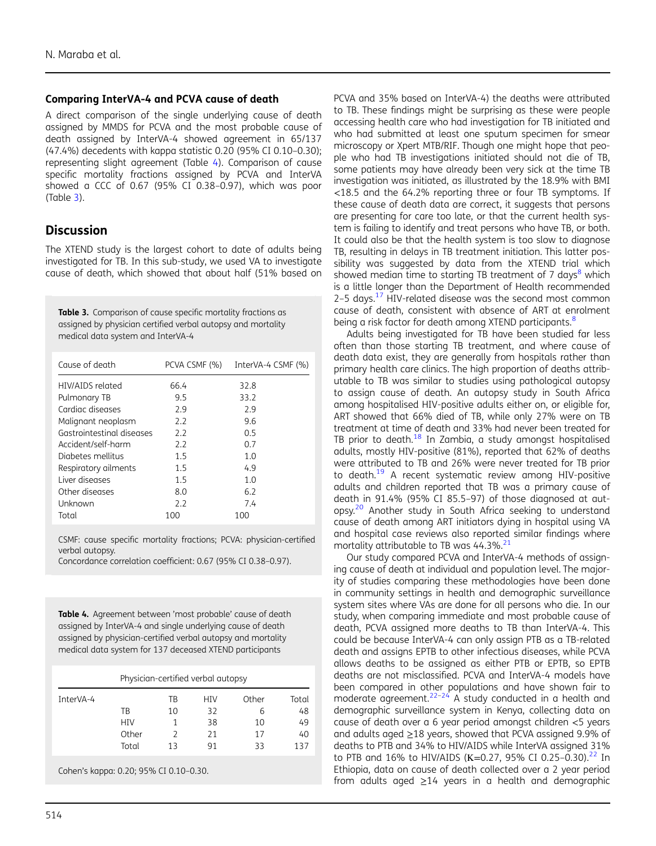#### <span id="page-4-0"></span>Comparing InterVA-4 and PCVA cause of death

A direct comparison of the single underlying cause of death assigned by MMDS for PCVA and the most probable cause of death assigned by InterVA-4 showed agreement in 65/137 (47.4%) decedents with kappa statistic 0.20 (95% CI 0.10–0.30); representing slight agreement (Table 4). Comparison of cause specific mortality fractions assigned by PCVA and InterVA showed a CCC of 0.67 (95% CI 0.38–0.97), which was poor (Table 3).

## **Discussion**

The XTEND study is the largest cohort to date of adults being investigated for TB. In this sub-study, we used VA to investigate cause of death, which showed that about half (51% based on

Table 3. Comparison of cause specific mortality fractions as assigned by physician certified verbal autopsy and mortality medical data system and InterVA-4

| Cause of death            | PCVA CSMF (%) | InterVA-4 CSMF (%) |
|---------------------------|---------------|--------------------|
| HIV/AIDS related          | 66.4          | 32.8               |
| Pulmonary TB              | 9.5           | 33.2               |
| Cardiac diseases          | 2.9           | 2.9                |
| Malignant neoplasm        | 2.2           | 9.6                |
| Gastrointestinal diseases | 2.2           | 0.5                |
| Accident/self-harm        | 2.2           | 0.7                |
| Diabetes mellitus         | 1.5           | 1.0                |
| Respiratory ailments      | 1.5           | 4.9                |
| Liver diseases            | 1.5           | 1.0                |
| Other diseases            | 8.0           | 6.2                |
| Unknown                   | 2.2           | 7.4                |
| Total                     | 100           | 100                |

CSMF: cause specific mortality fractions; PCVA: physician-certified verbal autopsy.

Concordance correlation coefficient: 0.67 (95% CI 0.38–0.97).

Table 4. Agreement between 'most probable' cause of death assigned by InterVA-4 and single underlying cause of death assigned by physician-certified verbal autopsy and mortality medical data system for 137 deceased XTEND participants

| Physician-certified verbal autopsy |            |    |     |       |       |  |  |
|------------------------------------|------------|----|-----|-------|-------|--|--|
| InterVA-4                          |            | TB | HIV | Other | Total |  |  |
|                                    | ТB         | 10 | 32  | 6     | 48    |  |  |
|                                    | <b>HIV</b> |    | 38  | 10    | 49    |  |  |
|                                    | Other      | っ  | 21  | 17    | 40    |  |  |
|                                    | Total      | 13 | 91  | 33    | 137   |  |  |

Cohen's kappa: 0.20; 95% CI 0.10–0.30.

PCVA and 35% based on InterVA-4) the deaths were attributed to TB. These findings might be surprising as these were people accessing health care who had investigation for TB initiated and who had submitted at least one sputum specimen for smear microscopy or Xpert MTB/RIF. Though one might hope that people who had TB investigations initiated should not die of TB, some patients may have already been very sick at the time TB investigation was initiated, as illustrated by the 18.9% with BMI <18.5 and the 64.2% reporting three or four TB symptoms. If these cause of death data are correct, it suggests that persons are presenting for care too late, or that the current health system is failing to identify and treat persons who have TB, or both. It could also be that the health system is too slow to diagnose TB, resulting in delays in TB treatment initiation. This latter possibility was suggested by data from the XTEND trial which showed median time to starting TB treatment of 7 days $8$  which is a little longer than the Department of Health recommended 2–5 days. $17$  HIV-related disease was the second most common cause of death, consistent with absence of ART at enrolment being a risk factor for death among XTEND participants.<sup>[8](#page-5-0)</sup>

Adults being investigated for TB have been studied far less often than those starting TB treatment, and where cause of death data exist, they are generally from hospitals rather than primary health care clinics. The high proportion of deaths attributable to TB was similar to studies using pathological autopsy to assign cause of death. An autopsy study in South Africa among hospitalised HIV-positive adults either on, or eligible for, ART showed that 66% died of TB, while only 27% were on TB treatment at time of death and 33% had never been treated for TB prior to death.<sup>[18](#page-6-0)</sup> In Zambia, a study amongst hospitalised adults, mostly HIV-positive (81%), reported that 62% of deaths were attributed to TB and 26% were never treated for TB prior to death.<sup>[19](#page-6-0)</sup> A recent systematic review among HIV-positive adults and children reported that TB was a primary cause of death in 91.4% (95% CI 85.5–97) of those diagnosed at autopsy.[20](#page-6-0) Another study in South Africa seeking to understand cause of death among ART initiators dying in hospital using VA and hospital case reviews also reported similar findings where mortality attributable to TB was  $44.3\%$ .<sup>[21](#page-6-0)</sup>

Our study compared PCVA and InterVA-4 methods of assigning cause of death at individual and population level. The majority of studies comparing these methodologies have been done in community settings in health and demographic surveillance system sites where VAs are done for all persons who die. In our study, when comparing immediate and most probable cause of death, PCVA assigned more deaths to TB than InterVA-4. This could be because InterVA-4 can only assign PTB as a TB-related death and assigns EPTB to other infectious diseases, while PCVA allows deaths to be assigned as either PTB or EPTB, so EPTB deaths are not misclassified. PCVA and InterVA-4 models have been compared in other populations and have shown fair to moderate agreement. $22-24$  $22-24$  A study conducted in a health and demographic surveillance system in Kenya, collecting data on cause of death over a 6 year period amongst children <5 years and adults aged ≥18 years, showed that PCVA assigned 9.9% of deaths to PTB and 34% to HIV/AIDS while InterVA assigned 31% to PTB and 16% to HIV/AIDS (K=0.27, 95% CI 0.25-0.30).<sup>22</sup> In Ethiopia, data on cause of death collected over a 2 year period from adults aged  $\geq$ 14 years in a health and demographic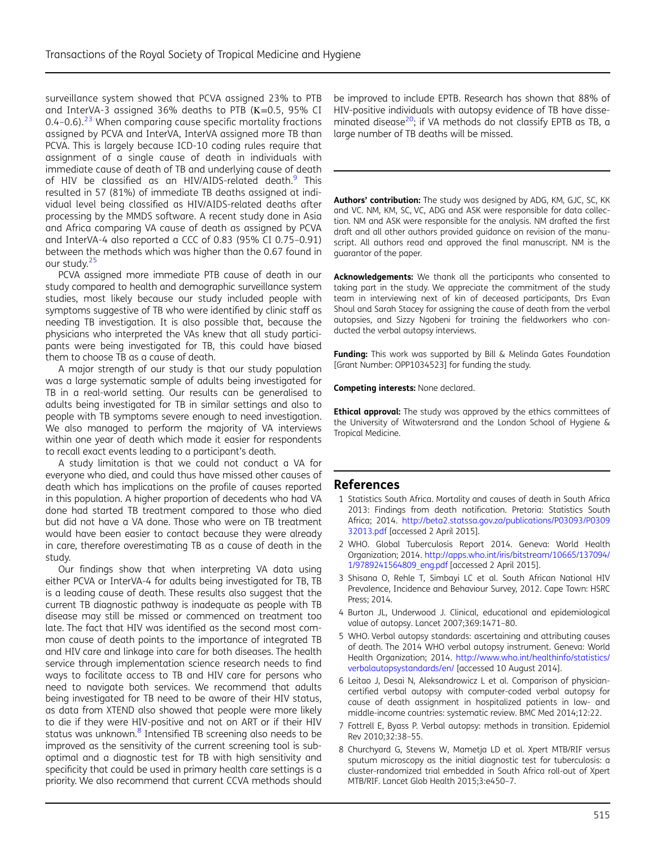<span id="page-5-0"></span>surveillance system showed that PCVA assigned 23% to PTB and InterVA-3 assigned 36% deaths to PTB (Κ=0.5, 95% CI 0.4–0.6). $^{23}$  $^{23}$  $^{23}$  When comparing cause specific mortality fractions assigned by PCVA and InterVA, InterVA assigned more TB than PCVA. This is largely because ICD-10 coding rules require that assignment of a single cause of death in individuals with immediate cause of death of TB and underlying cause of death of HIV be classified as an HIV/AIDS-related death.<sup>[9](#page-6-0)</sup> This resulted in 57 (81%) of immediate TB deaths assigned at individual level being classified as HIV/AIDS-related deaths after processing by the MMDS software. A recent study done in Asia and Africa comparing VA cause of death as assigned by PCVA and InterVA-4 also reported a CCC of 0.83 (95% CI 0.75–0.91) between the methods which was higher than the 0.67 found in our study.<sup>[25](#page-6-0)</sup>

PCVA assigned more immediate PTB cause of death in our study compared to health and demographic surveillance system studies, most likely because our study included people with symptoms suggestive of TB who were identified by clinic staff as needing TB investigation. It is also possible that, because the physicians who interpreted the VAs knew that all study participants were being investigated for TB, this could have biased them to choose TB as a cause of death.

A major strength of our study is that our study population was a large systematic sample of adults being investigated for TB in a real-world setting. Our results can be generalised to adults being investigated for TB in similar settings and also to people with TB symptoms severe enough to need investigation. We also managed to perform the majority of VA interviews within one year of death which made it easier for respondents to recall exact events leading to a participant's death.

A study limitation is that we could not conduct a VA for everyone who died, and could thus have missed other causes of death which has implications on the profile of causes reported in this population. A higher proportion of decedents who had VA done had started TB treatment compared to those who died but did not have a VA done. Those who were on TB treatment would have been easier to contact because they were already in care, therefore overestimating TB as a cause of death in the study.

Our findings show that when interpreting VA data using either PCVA or InterVA-4 for adults being investigated for TB, TB is a leading cause of death. These results also suggest that the current TB diagnostic pathway is inadequate as people with TB disease may still be missed or commenced on treatment too late. The fact that HIV was identified as the second most common cause of death points to the importance of integrated TB and HIV care and linkage into care for both diseases. The health service through implementation science research needs to find ways to facilitate access to TB and HIV care for persons who need to navigate both services. We recommend that adults being investigated for TB need to be aware of their HIV status, as data from XTEND also showed that people were more likely to die if they were HIV-positive and not on ART or if their HIV status was unknown.<sup>8</sup> Intensified TB screening also needs to be improved as the sensitivity of the current screening tool is suboptimal and a diagnostic test for TB with high sensitivity and specificity that could be used in primary health care settings is a priority. We also recommend that current CCVA methods should

be improved to include EPTB. Research has shown that 88% of HIV-positive individuals with autopsy evidence of TB have disseminated disease<sup>20</sup>; if VA methods do not classify EPTB as TB, a large number of TB deaths will be missed.

Authors' contribution: The study was designed by ADG, KM, GJC, SC, KK and VC. NM, KM, SC, VC, ADG and ASK were responsible for data collection. NM and ASK were responsible for the analysis. NM drafted the first draft and all other authors provided guidance on revision of the manuscript. All authors read and approved the final manuscript. NM is the guarantor of the paper.

Acknowledgements: We thank all the participants who consented to taking part in the study. We appreciate the commitment of the study team in interviewing next of kin of deceased participants, Drs Evan Shoul and Sarah Stacey for assigning the cause of death from the verbal autopsies, and Sizzy Ngobeni for training the fieldworkers who conducted the verbal autopsy interviews.

Funding: This work was supported by Bill & Melinda Gates Foundation [Grant Number: OPP1034523] for funding the study.

Competing interests: None declared.

**Ethical approval:** The study was approved by the ethics committees of the University of Witwatersrand and the London School of Hygiene & Tropical Medicine.

## References

- 1 Statistics South Africa. Mortality and causes of death in South Africa 2013: Findings from death notification. Pretoria: Statistics South Africa; 2014. [http://beta2.statssa.gov.za/publications/P03093/P0309](http://beta2.statssa.gov.za/publications/P03093/P030932013.pdf) [32013.pdf](http://beta2.statssa.gov.za/publications/P03093/P030932013.pdf) [accessed 2 April 2015].
- 2 WHO. Global Tuberculosis Report 2014. Geneva: World Health Organization; 2014. [http://apps.who.int/iris/bitstream/10665/137094/](http://apps.who.int/iris/bitstream/10665/137094/1/9789241564809_eng.pdf) [1/9789241564809\\_eng.pdf](http://apps.who.int/iris/bitstream/10665/137094/1/9789241564809_eng.pdf) [accessed 2 April 2015].
- 3 Shisana O, Rehle T, Simbayi LC et al. South African National HIV Prevalence, Incidence and Behaviour Survey, 2012. Cape Town: HSRC Press; 2014.
- 4 Burton JL, Underwood J. Clinical, educational and epidemiological value of autopsy. Lancet 2007;369:1471–80.
- 5 WHO. Verbal autopsy standards: ascertaining and attributing causes of death. The 2014 WHO verbal autopsy instrument. Geneva: World Health Organization; 2014. [http://www.who.int/healthinfo/statistics/](http://www.who.int/healthinfo/statistics/verbalautopsystandards/en/) [verbalautopsystandards/en/](http://www.who.int/healthinfo/statistics/verbalautopsystandards/en/) [accessed 10 August 2014].
- 6 Leitao J, Desai N, Aleksandrowicz L et al. Comparison of physiciancertified verbal autopsy with computer-coded verbal autopsy for cause of death assignment in hospitalized patients in low- and middle-income countries: systematic review. BMC Med 2014;12:22.
- 7 Fottrell E, Byass P. Verbal autopsy: methods in transition. Epidemiol Rev 2010;32:38–55.
- 8 Churchyard G, Stevens W, Mametja LD et al. Xpert MTB/RIF versus sputum microscopy as the initial diagnostic test for tuberculosis: a cluster-randomized trial embedded in South Africa roll-out of Xpert MTB/RIF. Lancet Glob Health 2015;3:e450–7.